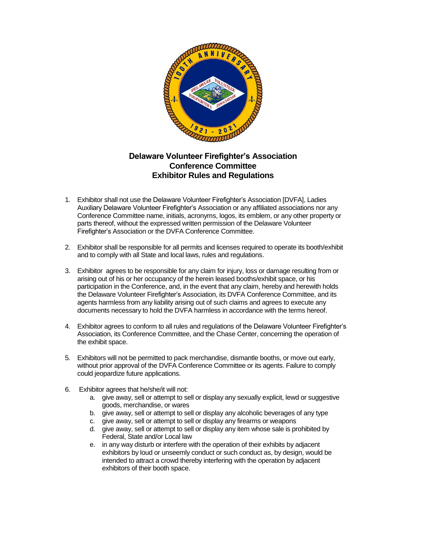

## **Delaware Volunteer Firefighter's Association Conference Committee Exhibitor Rules and Regulations**

- 1. Exhibitor shall not use the Delaware Volunteer Firefighter's Association [DVFA], Ladies Auxiliary Delaware Volunteer Firefighter's Association or any affiliated associations nor any Conference Committee name, initials, acronyms, logos, its emblem, or any other property or parts thereof, without the expressed written permission of the Delaware Volunteer Firefighter's Association or the DVFA Conference Committee.
- 2. Exhibitor shall be responsible for all permits and licenses required to operate its booth/exhibit and to comply with all State and local laws, rules and regulations.
- 3. Exhibitor agrees to be responsible for any claim for injury, loss or damage resulting from or arising out of his or her occupancy of the herein leased booths/exhibit space, or his participation in the Conference, and, in the event that any claim, hereby and herewith holds the Delaware Volunteer Firefighter's Association, its DVFA Conference Committee, and its agents harmless from any liability arising out of such claims and agrees to execute any documents necessary to hold the DVFA harmless in accordance with the terms hereof.
- 4. Exhibitor agrees to conform to all rules and regulations of the Delaware Volunteer Firefighter's Association, its Conference Committee, and the Chase Center, concerning the operation of the exhibit space.
- 5. Exhibitors will not be permitted to pack merchandise, dismantle booths, or move out early, without prior approval of the DVFA Conference Committee or its agents. Failure to comply could jeopardize future applications.
- 6. Exhibitor agrees that he/she/it will not:
	- a. give away, sell or attempt to sell or display any sexually explicit, lewd or suggestive goods, merchandise, or wares
	- b. give away, sell or attempt to sell or display any alcoholic beverages of any type
	- c. give away, sell or attempt to sell or display any firearms or weapons
	- d. give away, sell or attempt to sell or display any item whose sale is prohibited by Federal, State and/or Local law
	- e. in any way disturb or interfere with the operation of their exhibits by adjacent exhibitors by loud or unseemly conduct or such conduct as, by design, would be intended to attract a crowd thereby interfering with the operation by adjacent exhibitors of their booth space.